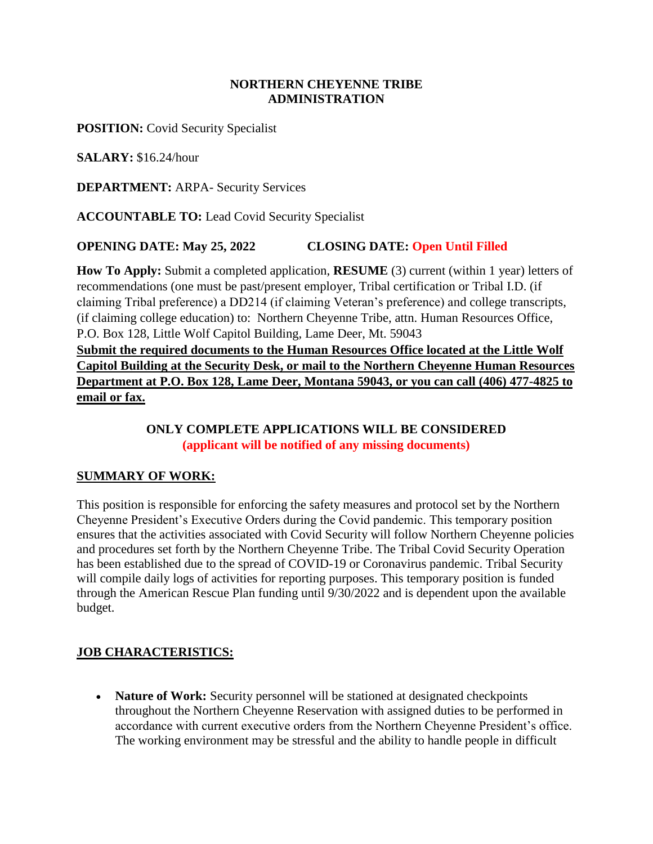#### **NORTHERN CHEYENNE TRIBE ADMINISTRATION**

**POSITION:** Covid Security Specialist

**SALARY:** \$16.24/hour

**DEPARTMENT:** ARPA- Security Services

**ACCOUNTABLE TO:** Lead Covid Security Specialist

### **OPENING DATE: May 25, 2022 CLOSING DATE: Open Until Filled**

**How To Apply:** Submit a completed application, **RESUME** (3) current (within 1 year) letters of recommendations (one must be past/present employer, Tribal certification or Tribal I.D. (if claiming Tribal preference) a DD214 (if claiming Veteran's preference) and college transcripts, (if claiming college education) to: Northern Cheyenne Tribe, attn. Human Resources Office, P.O. Box 128, Little Wolf Capitol Building, Lame Deer, Mt. 59043

**Submit the required documents to the Human Resources Office located at the Little Wolf Capitol Building at the Security Desk, or mail to the Northern Cheyenne Human Resources Department at P.O. Box 128, Lame Deer, Montana 59043, or you can call (406) 477-4825 to email or fax.**

## **ONLY COMPLETE APPLICATIONS WILL BE CONSIDERED (applicant will be notified of any missing documents)**

### **SUMMARY OF WORK:**

This position is responsible for enforcing the safety measures and protocol set by the Northern Cheyenne President's Executive Orders during the Covid pandemic. This temporary position ensures that the activities associated with Covid Security will follow Northern Cheyenne policies and procedures set forth by the Northern Cheyenne Tribe. The Tribal Covid Security Operation has been established due to the spread of COVID-19 or Coronavirus pandemic. Tribal Security will compile daily logs of activities for reporting purposes. This temporary position is funded through the American Rescue Plan funding until 9/30/2022 and is dependent upon the available budget.

### **JOB CHARACTERISTICS:**

• Nature of Work: Security personnel will be stationed at designated checkpoints throughout the Northern Cheyenne Reservation with assigned duties to be performed in accordance with current executive orders from the Northern Cheyenne President's office. The working environment may be stressful and the ability to handle people in difficult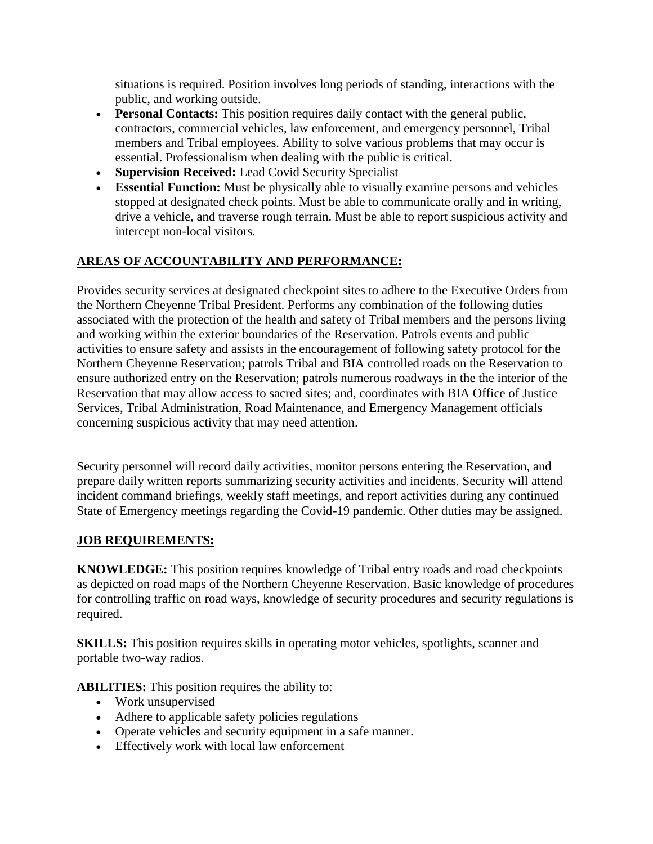situations is required. Position involves long periods of standing, interactions with the public, and working outside.

- **Personal Contacts:** This position requires daily contact with the general public, contractors, commercial vehicles, law enforcement, and emergency personnel, Tribal members and Tribal employees. Ability to solve various problems that may occur is essential. Professionalism when dealing with the public is critical.
- **Supervision Received:** Lead Covid Security Specialist
- **Essential Function:** Must be physically able to visually examine persons and vehicles stopped at designated check points. Must be able to communicate orally and in writing, drive a vehicle, and traverse rough terrain. Must be able to report suspicious activity and intercept non-local visitors.

## **AREAS OF ACCOUNTABILITY AND PERFORMANCE:**

Provides security services at designated checkpoint sites to adhere to the Executive Orders from the Northern Cheyenne Tribal President. Performs any combination of the following duties associated with the protection of the health and safety of Tribal members and the persons living and working within the exterior boundaries of the Reservation. Patrols events and public activities to ensure safety and assists in the encouragement of following safety protocol for the Northern Cheyenne Reservation; patrols Tribal and BIA controlled roads on the Reservation to ensure authorized entry on the Reservation; patrols numerous roadways in the the interior of the Reservation that may allow access to sacred sites; and, coordinates with BIA Office of Justice Services, Tribal Administration, Road Maintenance, and Emergency Management officials concerning suspicious activity that may need attention.

Security personnel will record daily activities, monitor persons entering the Reservation, and prepare daily written reports summarizing security activities and incidents. Security will attend incident command briefings, weekly staff meetings, and report activities during any continued State of Emergency meetings regarding the Covid-19 pandemic. Other duties may be assigned.

### **JOB REQUIREMENTS:**

**KNOWLEDGE:** This position requires knowledge of Tribal entry roads and road checkpoints as depicted on road maps of the Northern Cheyenne Reservation. Basic knowledge of procedures for controlling traffic on road ways, knowledge of security procedures and security regulations is required.

**SKILLS:** This position requires skills in operating motor vehicles, spotlights, scanner and portable two-way radios.

**ABILITIES:** This position requires the ability to:

- Work unsupervised
- Adhere to applicable safety policies regulations
- Operate vehicles and security equipment in a safe manner.
- Effectively work with local law enforcement